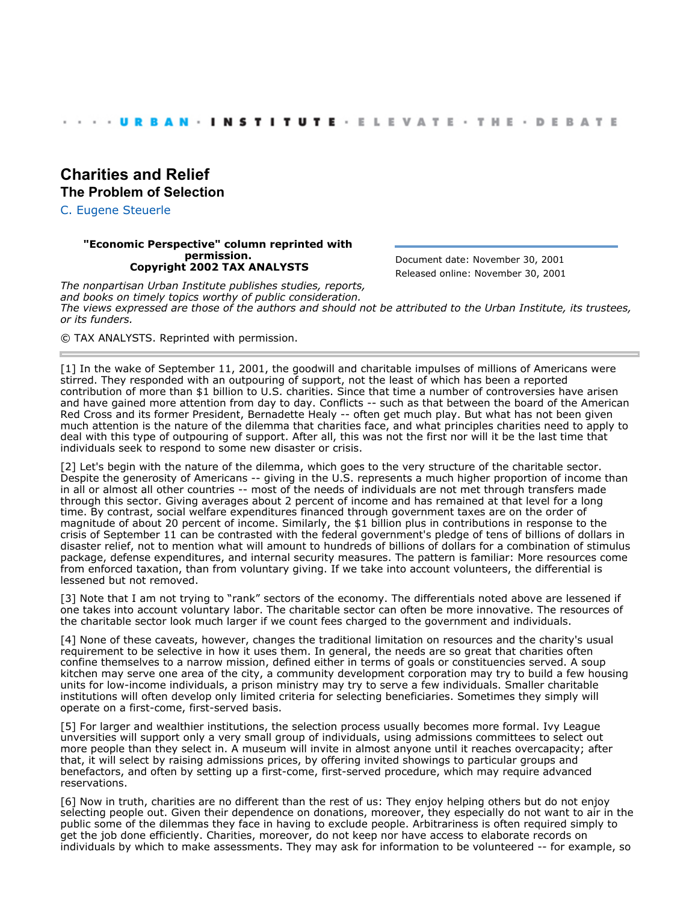## **[Charities and Relief](http://webarchive.urban.org/index.cfm) The Problem of Selection**

[C. Eugene Steuerle](http://www.urban.org/CEugeneSteuerle)

## **"Economic Perspective" column reprinted with permission. Copyright 2002 TAX ANALYSTS**

Document date: November 30, 2001 Released online: November 30, 2001

*The nonpartisan Urban Institute publishes studies, reports, and books on timely topics worthy of public consideration. The views expressed are those of the authors and should not be attributed to the Urban Institute, its trustees, or its funders.*

© TAX ANALYSTS. Reprinted with permission.

[1] In the wake of September 11, 2001, the goodwill and charitable impulses of millions of Americans were stirred. They responded with an outpouring of support, not the least of which has been a reported contribution of more than \$1 billion to U.S. charities. Since that time a number of controversies have arisen and have gained more attention from day to day. Conflicts -- such as that between the board of the American Red Cross and its former President, Bernadette Healy -- often get much play. But what has not been given much attention is the nature of the dilemma that charities face, and what principles charities need to apply to deal with this type of outpouring of support. After all, this was not the first nor will it be the last time that individuals seek to respond to some new disaster or crisis.

[2] Let's begin with the nature of the dilemma, which goes to the very structure of the charitable sector. Despite the generosity of Americans -- giving in the U.S. represents a much higher proportion of income than in all or almost all other countries -- most of the needs of individuals are not met through transfers made through this sector. Giving averages about 2 percent of income and has remained at that level for a long time. By contrast, social welfare expenditures financed through government taxes are on the order of magnitude of about 20 percent of income. Similarly, the \$1 billion plus in contributions in response to the crisis of September 11 can be contrasted with the federal government's pledge of tens of billions of dollars in disaster relief, not to mention what will amount to hundreds of billions of dollars for a combination of stimulus package, defense expenditures, and internal security measures. The pattern is familiar: More resources come from enforced taxation, than from voluntary giving. If we take into account volunteers, the differential is lessened but not removed.

[3] Note that I am not trying to "rank" sectors of the economy. The differentials noted above are lessened if one takes into account voluntary labor. The charitable sector can often be more innovative. The resources of the charitable sector look much larger if we count fees charged to the government and individuals.

[4] None of these caveats, however, changes the traditional limitation on resources and the charity's usual requirement to be selective in how it uses them. In general, the needs are so great that charities often confine themselves to a narrow mission, defined either in terms of goals or constituencies served. A soup kitchen may serve one area of the city, a community development corporation may try to build a few housing units for low-income individuals, a prison ministry may try to serve a few individuals. Smaller charitable institutions will often develop only limited criteria for selecting beneficiaries. Sometimes they simply will operate on a first-come, first-served basis.

[5] For larger and wealthier institutions, the selection process usually becomes more formal. Ivy League unversities will support only a very small group of individuals, using admissions committees to select out more people than they select in. A museum will invite in almost anyone until it reaches overcapacity; after that, it will select by raising admissions prices, by offering invited showings to particular groups and benefactors, and often by setting up a first-come, first-served procedure, which may require advanced reservations.

[6] Now in truth, charities are no different than the rest of us: They enjoy helping others but do not enjoy selecting people out. Given their dependence on donations, moreover, they especially do not want to air in the public some of the dilemmas they face in having to exclude people. Arbitrariness is often required simply to get the job done efficiently. Charities, moreover, do not keep nor have access to elaborate records on individuals by which to make assessments. They may ask for information to be volunteered -- for example, so